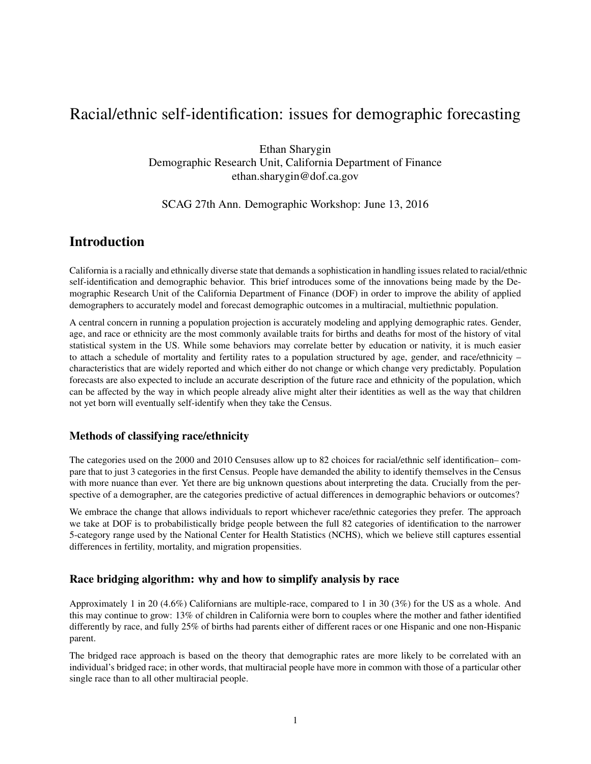# Racial/ethnic self-identification: issues for demographic forecasting

Ethan Sharygin Demographic Research Unit, California Department of Finance ethan.sharygin@dof.ca.gov

#### SCAG 27th Ann. Demographic Workshop: June 13, 2016

# Introduction

California is a racially and ethnically diverse state that demands a sophistication in handling issues related to racial/ethnic self-identification and demographic behavior. This brief introduces some of the innovations being made by the Demographic Research Unit of the California Department of Finance (DOF) in order to improve the ability of applied demographers to accurately model and forecast demographic outcomes in a multiracial, multiethnic population.

A central concern in running a population projection is accurately modeling and applying demographic rates. Gender, age, and race or ethnicity are the most commonly available traits for births and deaths for most of the history of vital statistical system in the US. While some behaviors may correlate better by education or nativity, it is much easier to attach a schedule of mortality and fertility rates to a population structured by age, gender, and race/ethnicity – characteristics that are widely reported and which either do not change or which change very predictably. Population forecasts are also expected to include an accurate description of the future race and ethnicity of the population, which can be affected by the way in which people already alive might alter their identities as well as the way that children not yet born will eventually self-identify when they take the Census.

### Methods of classifying race/ethnicity

The categories used on the 2000 and 2010 Censuses allow up to 82 choices for racial/ethnic self identification– compare that to just 3 categories in the first Census. People have demanded the ability to identify themselves in the Census with more nuance than ever. Yet there are big unknown questions about interpreting the data. Crucially from the perspective of a demographer, are the categories predictive of actual differences in demographic behaviors or outcomes?

We embrace the change that allows individuals to report whichever race/ethnic categories they prefer. The approach we take at DOF is to probabilistically bridge people between the full 82 categories of identification to the narrower 5-category range used by the National Center for Health Statistics (NCHS), which we believe still captures essential differences in fertility, mortality, and migration propensities.

### Race bridging algorithm: why and how to simplify analysis by race

Approximately 1 in 20 (4.6%) Californians are multiple-race, compared to 1 in 30 (3%) for the US as a whole. And this may continue to grow: 13% of children in California were born to couples where the mother and father identified differently by race, and fully 25% of births had parents either of different races or one Hispanic and one non-Hispanic parent.

The bridged race approach is based on the theory that demographic rates are more likely to be correlated with an individual's bridged race; in other words, that multiracial people have more in common with those of a particular other single race than to all other multiracial people.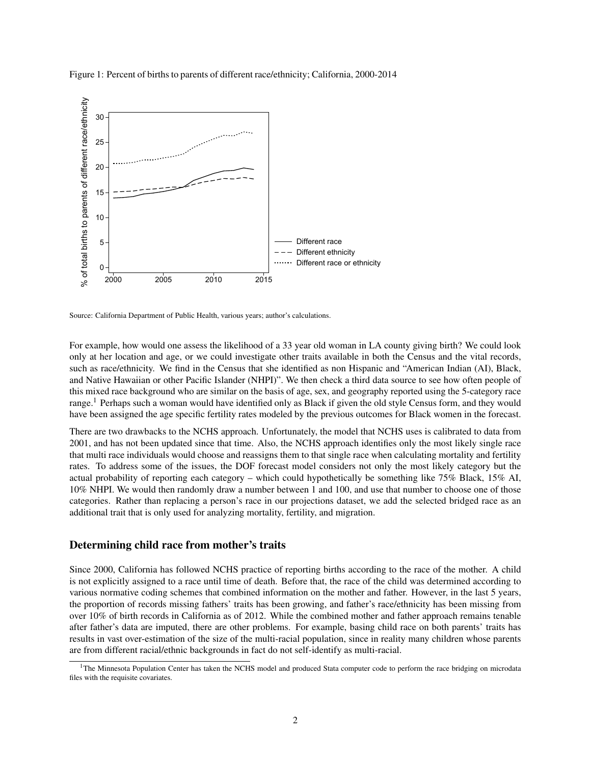



Source: California Department of Public Health, various years; author's calculations.

For example, how would one assess the likelihood of a 33 year old woman in LA county giving birth? We could look only at her location and age, or we could investigate other traits available in both the Census and the vital records, such as race/ethnicity. We find in the Census that she identified as non Hispanic and "American Indian (AI), Black, and Native Hawaiian or other Pacific Islander (NHPI)". We then check a third data source to see how often people of this mixed race background who are similar on the basis of age, sex, and geography reported using the 5-category race range.<sup>1</sup> Perhaps such a woman would have identified only as Black if given the old style Census form, and they would have been assigned the age specific fertility rates modeled by the previous outcomes for Black women in the forecast.

There are two drawbacks to the NCHS approach. Unfortunately, the model that NCHS uses is calibrated to data from 2001, and has not been updated since that time. Also, the NCHS approach identifies only the most likely single race that multi race individuals would choose and reassigns them to that single race when calculating mortality and fertility rates. To address some of the issues, the DOF forecast model considers not only the most likely category but the actual probability of reporting each category – which could hypothetically be something like 75% Black, 15% AI, 10% NHPI. We would then randomly draw a number between 1 and 100, and use that number to choose one of those categories. Rather than replacing a person's race in our projections dataset, we add the selected bridged race as an additional trait that is only used for analyzing mortality, fertility, and migration.

#### Determining child race from mother's traits

Since 2000, California has followed NCHS practice of reporting births according to the race of the mother. A child is not explicitly assigned to a race until time of death. Before that, the race of the child was determined according to various normative coding schemes that combined information on the mother and father. However, in the last 5 years, the proportion of records missing fathers' traits has been growing, and father's race/ethnicity has been missing from over 10% of birth records in California as of 2012. While the combined mother and father approach remains tenable after father's data are imputed, there are other problems. For example, basing child race on both parents' traits has results in vast over-estimation of the size of the multi-racial population, since in reality many children whose parents are from different racial/ethnic backgrounds in fact do not self-identify as multi-racial.

<sup>&</sup>lt;sup>1</sup>The Minnesota Population Center has taken the NCHS model and produced Stata computer code to perform the race bridging on microdata files with the requisite covariates.